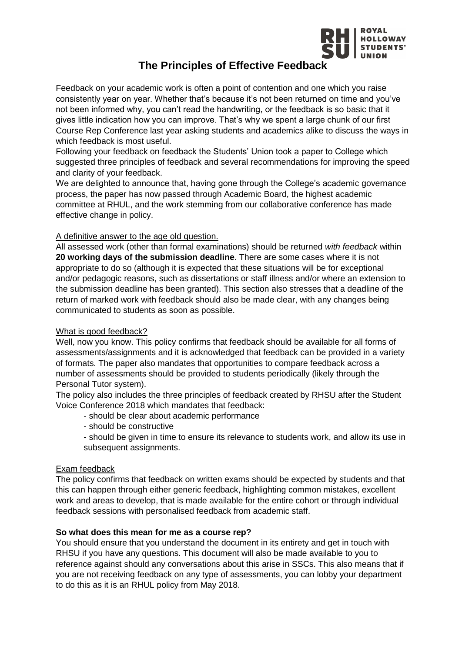

# **The Principles of Effective Feedback**

Feedback on your academic work is often a point of contention and one which you raise consistently year on year. Whether that's because it's not been returned on time and you've not been informed why, you can't read the handwriting, or the feedback is so basic that it gives little indication how you can improve. That's why we spent a large chunk of our first Course Rep Conference last year asking students and academics alike to discuss the ways in which feedback is most useful.

Following your feedback on feedback the Students' Union took a paper to College which suggested three principles of feedback and several recommendations for improving the speed and clarity of your feedback.

We are delighted to announce that, having gone through the College's academic governance process, the paper has now passed through Academic Board, the highest academic committee at RHUL, and the work stemming from our collaborative conference has made effective change in policy.

## A definitive answer to the age old question.

All assessed work (other than formal examinations) should be returned *with feedback* within **20 working days of the submission deadline**. There are some cases where it is not appropriate to do so (although it is expected that these situations will be for exceptional and/or pedagogic reasons, such as dissertations or staff illness and/or where an extension to the submission deadline has been granted). This section also stresses that a deadline of the return of marked work with feedback should also be made clear, with any changes being communicated to students as soon as possible.

## What is good feedback?

Well, now you know. This policy confirms that feedback should be available for all forms of assessments/assignments and it is acknowledged that feedback can be provided in a variety of formats. The paper also mandates that opportunities to compare feedback across a number of assessments should be provided to students periodically (likely through the Personal Tutor system).

The policy also includes the three principles of feedback created by RHSU after the Student Voice Conference 2018 which mandates that feedback:

- should be clear about academic performance
- should be constructive
- should be given in time to ensure its relevance to students work, and allow its use in subsequent assignments.

## Exam feedback

The policy confirms that feedback on written exams should be expected by students and that this can happen through either generic feedback, highlighting common mistakes, excellent work and areas to develop, that is made available for the entire cohort or through individual feedback sessions with personalised feedback from academic staff.

## **So what does this mean for me as a course rep?**

You should ensure that you understand the document in its entirety and get in touch with RHSU if you have any questions. This document will also be made available to you to reference against should any conversations about this arise in SSCs. This also means that if you are not receiving feedback on any type of assessments, you can lobby your department to do this as it is an RHUL policy from May 2018.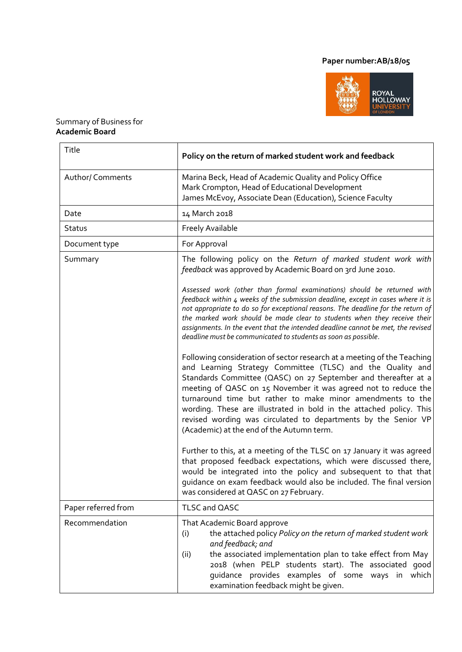# **Paper number:AB/18/05**



## Summary of Business for **Academic Board**

| Title                   | Policy on the return of marked student work and feedback                                                                                                                                                                                                                                                                                                                                                                                                                                                                                                                                                                                                                                                                                                                                                                                                                                                                                                                                                                                                                                                                                       |
|-------------------------|------------------------------------------------------------------------------------------------------------------------------------------------------------------------------------------------------------------------------------------------------------------------------------------------------------------------------------------------------------------------------------------------------------------------------------------------------------------------------------------------------------------------------------------------------------------------------------------------------------------------------------------------------------------------------------------------------------------------------------------------------------------------------------------------------------------------------------------------------------------------------------------------------------------------------------------------------------------------------------------------------------------------------------------------------------------------------------------------------------------------------------------------|
| <b>Author/ Comments</b> | Marina Beck, Head of Academic Quality and Policy Office<br>Mark Crompton, Head of Educational Development<br>James McEvoy, Associate Dean (Education), Science Faculty                                                                                                                                                                                                                                                                                                                                                                                                                                                                                                                                                                                                                                                                                                                                                                                                                                                                                                                                                                         |
| Date                    | 14 March 2018                                                                                                                                                                                                                                                                                                                                                                                                                                                                                                                                                                                                                                                                                                                                                                                                                                                                                                                                                                                                                                                                                                                                  |
| Status                  | <b>Freely Available</b>                                                                                                                                                                                                                                                                                                                                                                                                                                                                                                                                                                                                                                                                                                                                                                                                                                                                                                                                                                                                                                                                                                                        |
| Document type           | For Approval                                                                                                                                                                                                                                                                                                                                                                                                                                                                                                                                                                                                                                                                                                                                                                                                                                                                                                                                                                                                                                                                                                                                   |
| Summary                 | The following policy on the Return of marked student work with<br>feedback was approved by Academic Board on 3rd June 2010.<br>Assessed work (other than formal examinations) should be returned with<br>feedback within 4 weeks of the submission deadline, except in cases where it is<br>not appropriate to do so for exceptional reasons. The deadline for the return of<br>the marked work should be made clear to students when they receive their<br>assignments. In the event that the intended deadline cannot be met, the revised<br>deadline must be communicated to students as soon as possible.<br>Following consideration of sector research at a meeting of the Teaching<br>and Learning Strategy Committee (TLSC) and the Quality and<br>Standards Committee (QASC) on 27 September and thereafter at a<br>meeting of QASC on 15 November it was agreed not to reduce the<br>turnaround time but rather to make minor amendments to the<br>wording. These are illustrated in bold in the attached policy. This<br>revised wording was circulated to departments by the Senior VP<br>(Academic) at the end of the Autumn term. |
|                         | Further to this, at a meeting of the TLSC on 17 January it was agreed<br>that proposed feedback expectations, which were discussed there,<br>would be integrated into the policy and subsequent to that that<br>quidance on exam feedback would also be included. The final version<br>was considered at QASC on 27 February.                                                                                                                                                                                                                                                                                                                                                                                                                                                                                                                                                                                                                                                                                                                                                                                                                  |
| Paper referred from     | TLSC and QASC                                                                                                                                                                                                                                                                                                                                                                                                                                                                                                                                                                                                                                                                                                                                                                                                                                                                                                                                                                                                                                                                                                                                  |
| Recommendation          | That Academic Board approve<br>the attached policy Policy on the return of marked student work<br>(i)<br>and feedback; and<br>the associated implementation plan to take effect from May<br>(ii)<br>2018 (when PELP students start). The associated good<br>guidance provides examples of some ways in which<br>examination feedback might be given.                                                                                                                                                                                                                                                                                                                                                                                                                                                                                                                                                                                                                                                                                                                                                                                           |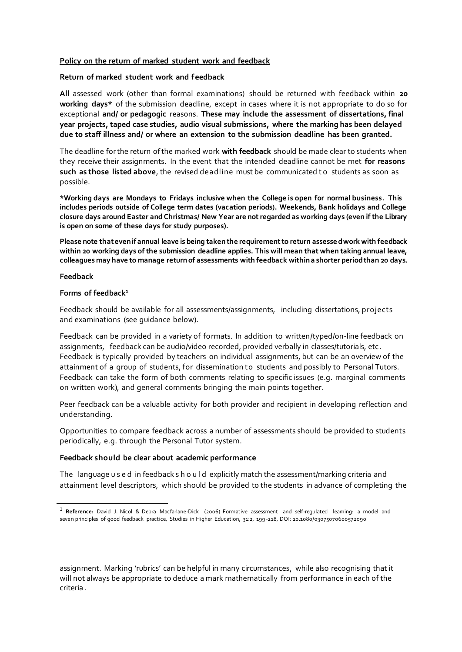#### **Policy on the return of marked student work and feedback**

#### **Return of marked student work and feedback**

**All** assessed work (other than formal examinations) should be returned with feedback within **20 working days\*** of the submission deadline, except in cases where it is not appropriate to do so for exceptional **and/ or pedagogic** reasons. **These may include the assessment of dissertations, final year projects, taped case studies, audio visual submissions, where the marking has been delayed due to staff illness and/ or where an extension to the submission deadline has been granted.**

The deadline forthe return ofthe marked work **with feedback** should be made clear to students when they receive their assignments. In the event that the intended deadline cannot be met **for reasons such as those listed above**, the revised deadline must be communicated t o students as soon as possible.

**\*Working days are Mondays to Fridays inclusive when the College is open for normal business. This includes periods outside of College term dates (vacation periods). Weekends, Bank holidays and College closure days around Easter and Christmas/ New Year are notregarded as working days (even if the Library is open on some of these days for study purposes).**

**Please note thatevenif annual leave is being takenthe requirementto return assessedwork with feedback within 20 working days of the submission deadline applies. This will mean that when taking annual leave, colleagues may have to manage returnof assessments with feedback withina shorter periodthan 20 days.**

#### **Feedback**

#### **Forms of feedback<sup>1</sup>**

Feedback should be available for all assessments/assignments, including dissertations, projects and examinations (see guidance below).

Feedback can be provided in a variety of formats. In addition to written/typed/on-line feedback on assignments, feedback can be audio/video recorded, provided verbally in classes/tutorials, etc . Feedback is typically provided by teachers on individual assignments, but can be an overview of the attainment of a group of students, for dissemination to students and possibly to Personal Tutors. Feedback can take the form of both comments relating to specific issues (e.g. marginal comments on written work), and general comments bringing the main points together.

Peer feedback can be a valuable activity for both provider and recipient in developing reflection and understanding.

Opportunities to compare feedback across a number of assessments should be provided to students periodically, e.g. through the Personal Tutor system.

#### **Feedback should be clear about academic performance**

The language u s e d in feedback s h o u l d explicitly match the assessment/marking criteria and attainment level descriptors, which should be provided to the students in advance of completing the

assignment. Marking 'rubrics' can be helpful in many circumstances, while also recognising that it will not always be appropriate to deduce a mark mathematically from performance in each of the criteria .

<sup>1</sup>**Reference:** David J. Nicol & Debra Macfarlane‐Dick (2006) Formative assessment and self‐regulated learning: a model and seven principles of good feedback practice, Studies in Higher Education, 31:2, 199 -218, DOI: 10.1080/03075070600572090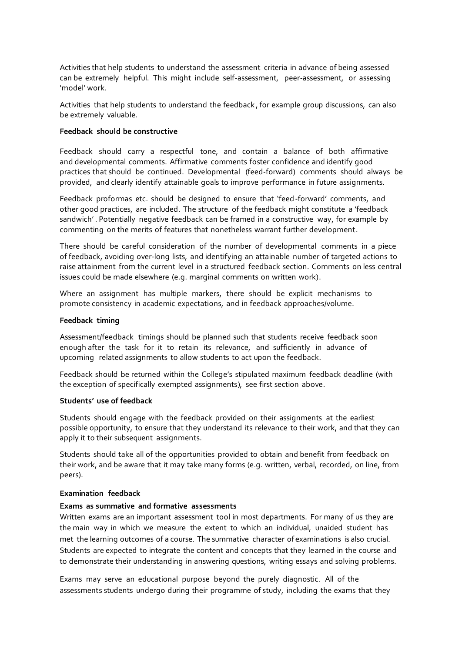Activities that help students to understand the assessment criteria in advance of being assessed can be extremely helpful. This might include self-assessment, peer-assessment, or assessing 'model' work.

Activities that help students to understand the feedback , for example group discussions, can also be extremely valuable.

#### **Feedback should be constructive**

Feedback should carry a respectful tone, and contain a balance of both affirmative and developmental comments. Affirmative comments foster confidence and identify good practices that should be continued. Developmental (feed-forward) comments should always be provided, and clearly identify attainable goals to improve performance in future assignments.

Feedback proformas etc. should be designed to ensure that 'feed-forward' comments, and other good practices, are included. The structure of the feedback might constitute a 'feedback sandwich' . Potentially negative feedback can be framed in a constructive way, for example by commenting on the merits of features that nonetheless warrant further development.

There should be careful consideration of the number of developmental comments in a piece of feedback, avoiding over-long lists, and identifying an attainable number of targeted actions to raise attainment from the current level in a structured feedback section. Comments on less central issues could be made elsewhere (e.g. marginal comments on written work).

Where an assignment has multiple markers, there should be explicit mechanisms to promote consistency in academic expectations, and in feedback approaches/volume.

#### **Feedback timing**

Assessment/feedback timings should be planned such that students receive feedback soon enough after the task for it to retain its relevance, and sufficiently in advance of upcoming related assignments to allow students to act upon the feedback.

Feedback should be returned within the College's stipulated maximum feedback deadline (with the exception of specifically exempted assignments), see first section above.

#### **Students' use of feedback**

Students should engage with the feedback provided on their assignments at the earliest possible opportunity, to ensure that they understand its relevance to their work, and that they can apply it to their subsequent assignments.

Students should take all of the opportunities provided to obtain and benefit from feedback on their work, and be aware that it may take many forms (e.g. written, verbal, recorded, on line, from peers).

#### **Examination feedback**

#### **Exams as summative and formative assessments**

Written exams are an important assessment tool in most departments. For many of us they are the main way in which we measure the extent to which an individual, unaided student has met the learning outcomes of a course. The summative character of examinations is also crucial. Students are expected to integrate the content and concepts that they learned in the course and to demonstrate their understanding in answering questions, writing essays and solving problems.

Exams may serve an educational purpose beyond the purely diagnostic. All of the assessments students undergo during their programme of study, including the exams that they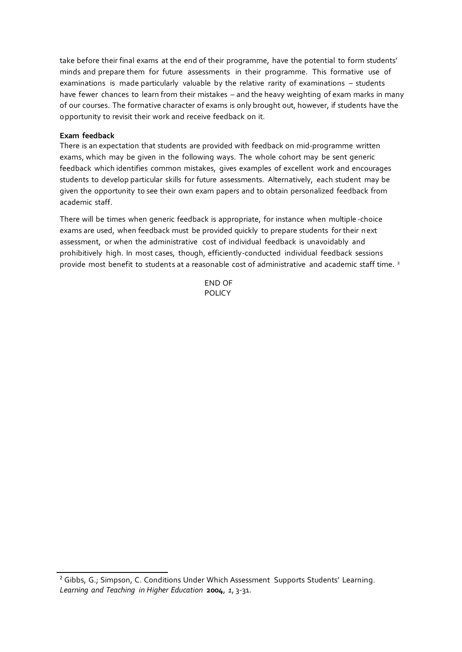take before their final exams at the end of their programme, have the potential to form students' minds and prepare them for future assessments in their programme. This formative use of examinations is made particularly valuable by the relative rarity of examinations – students have fewer chances to learn from their mistakes – and the heavy weighting of exam marks in many of our courses. The formative character of exams is only brought out, however, if students have the opportunity to revisit their work and receive feedback on it.

#### **Exam feedback**

There is an expectation that students are provided with feedback on mid-programme written exams, which may be given in the following ways. The whole cohort may be sent generic feedback which identifies common mistakes, gives examples of excellent work and encourages students to develop particular skills for future assessments. Alternatively, each student may be given the opportunity to see their own exam papers and to obtain personalized feedback from academic staff.

There will be times when generic feedback is appropriate, for instance when multiple -choice exams are used, when feedback must be provided quickly to prepare students for their next assessment, or when the administrative cost of individual feedback is unavoidably and prohibitively high. In most cases, though, efficiently-conducted individual feedback sessions provide most benefit to students at a reasonable cost of administrative and academic staff time. <sup>2</sup>

> END OF POLICY

<sup>&</sup>lt;sup>2</sup> Gibbs, G.; Simpson, C. Conditions Under Which Assessment Supports Students' Learning. *Learning and Teaching in Higher Education* **2004**, *1*, 3-31.